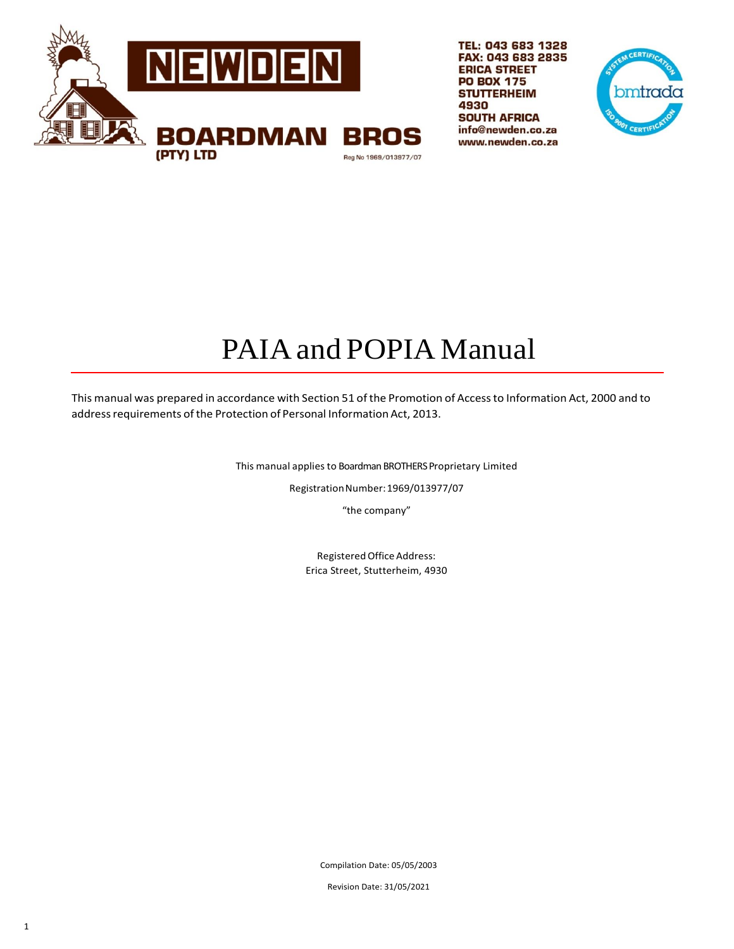

TEL: 043 683 1328 FAX: 043 683 2835 **ERICA STREET PO BOX 175 STUTTERHEIM** 4930 **SOUTH AFRICA** info@newden.co.za www.newden.co.za



# PAIA and POPIA Manual

This manual was prepared in accordance with Section 51 ofthe Promotion of Accessto Information Act, 2000 and to address requirements of the Protection of Personal Information Act, 2013.

This manual applies to Boardman BROTHERS Proprietary Limited

RegistrationNumber:1969/013977/07

"the company"

Registered Office Address: Erica Street, Stutterheim, 4930

Compilation Date: 05/05/2003

Revision Date: 31/05/2021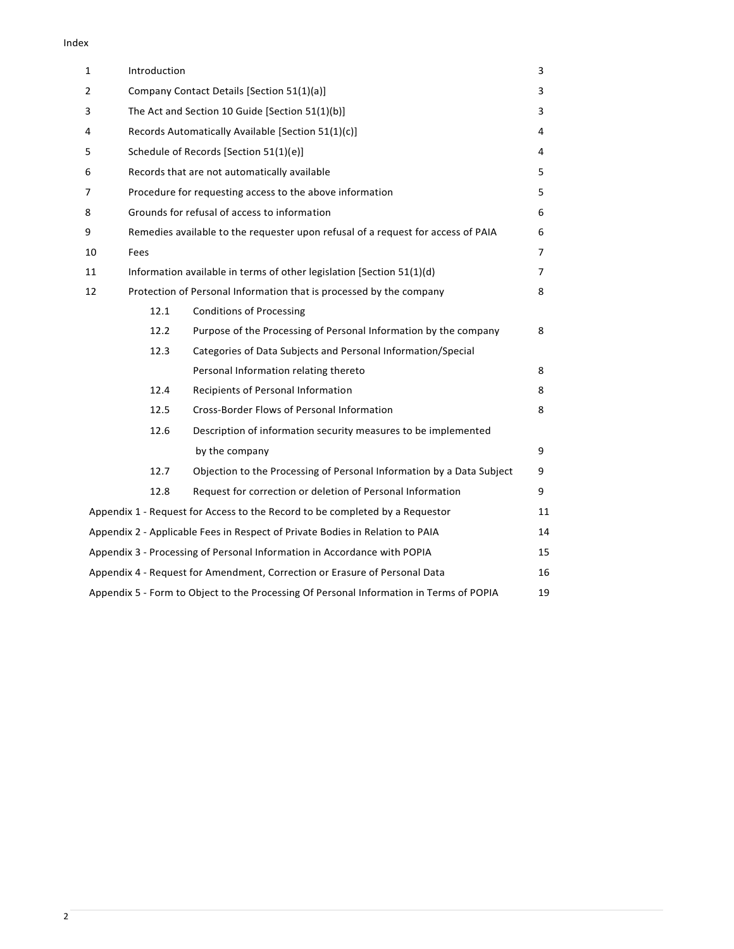#### Index

| $\mathbf{1}$   | Introduction |                                                                                         | 3  |  |
|----------------|--------------|-----------------------------------------------------------------------------------------|----|--|
| $\overline{2}$ |              | Company Contact Details [Section 51(1)(a)]<br>3                                         |    |  |
| 3              |              | The Act and Section 10 Guide [Section 51(1)(b)]                                         | 3  |  |
| 4              |              | Records Automatically Available [Section 51(1)(c)]                                      | 4  |  |
| 5              |              | Schedule of Records [Section 51(1)(e)]                                                  | 4  |  |
| 6              |              | Records that are not automatically available                                            | 5  |  |
| 7              |              | Procedure for requesting access to the above information                                | 5  |  |
| 8              |              | Grounds for refusal of access to information                                            | 6  |  |
| 9              |              | Remedies available to the requester upon refusal of a request for access of PAIA        | 6  |  |
| 10             | Fees         |                                                                                         | 7  |  |
| 11             |              | Information available in terms of other legislation [Section 51(1)(d)                   | 7  |  |
| 12             |              | Protection of Personal Information that is processed by the company                     | 8  |  |
|                | 12.1         | <b>Conditions of Processing</b>                                                         |    |  |
|                | 12.2         | Purpose of the Processing of Personal Information by the company                        | 8  |  |
|                | 12.3         | Categories of Data Subjects and Personal Information/Special                            |    |  |
|                |              | Personal Information relating thereto                                                   | 8  |  |
|                | 12.4         | Recipients of Personal Information                                                      | 8  |  |
|                | 12.5         | Cross-Border Flows of Personal Information                                              | 8  |  |
|                | 12.6         | Description of information security measures to be implemented                          |    |  |
|                |              | by the company                                                                          | 9  |  |
|                | 12.7         | Objection to the Processing of Personal Information by a Data Subject                   | 9  |  |
|                | 12.8         | Request for correction or deletion of Personal Information                              | 9  |  |
|                |              | Appendix 1 - Request for Access to the Record to be completed by a Requestor            | 11 |  |
|                |              | Appendix 2 - Applicable Fees in Respect of Private Bodies in Relation to PAIA           | 14 |  |
|                |              | Appendix 3 - Processing of Personal Information in Accordance with POPIA                | 15 |  |
|                |              | Appendix 4 - Request for Amendment, Correction or Erasure of Personal Data              | 16 |  |
|                |              | Appendix 5 - Form to Object to the Processing Of Personal Information in Terms of POPIA | 19 |  |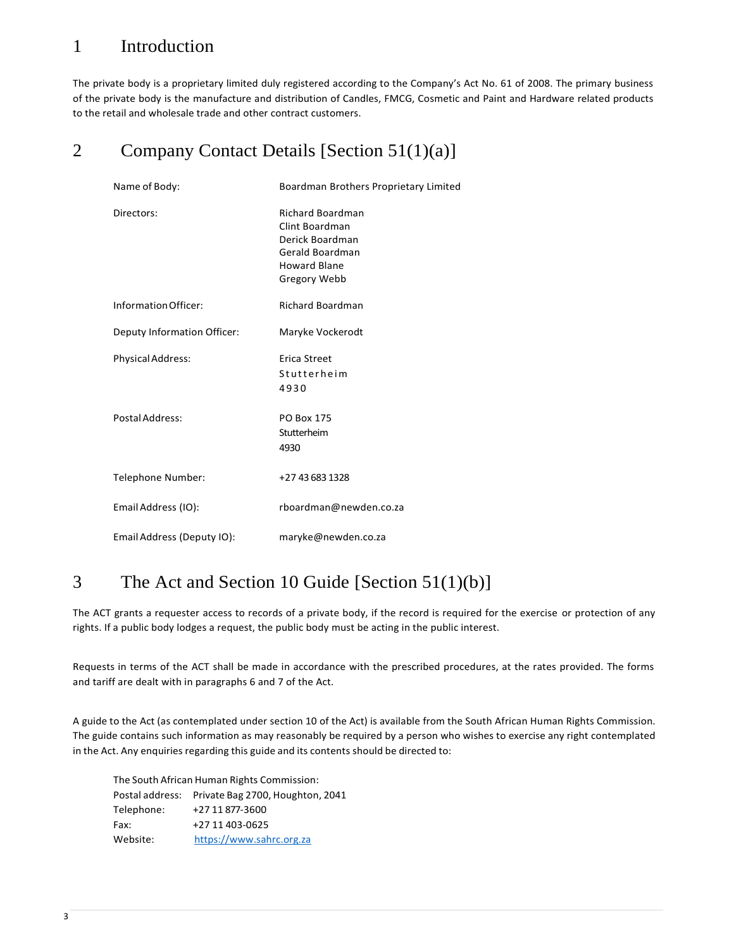## 1 Introduction

The private body is a proprietary limited duly registered according to the Company's Act No. 61 of 2008. The primary business of the private body is the manufacture and distribution of Candles, FMCG, Cosmetic and Paint and Hardware related products to the retail and wholesale trade and other contract customers.

# 2 Company Contact Details [Section 51(1)(a)]

| Name of Body:               | Boardman Brothers Proprietary Limited                                                                                  |
|-----------------------------|------------------------------------------------------------------------------------------------------------------------|
| Directors:                  | <b>Richard Boardman</b><br>Clint Boardman<br>Derick Boardman<br>Gerald Boardman<br><b>Howard Blane</b><br>Gregory Webb |
| Information Officer:        | <b>Richard Boardman</b>                                                                                                |
| Deputy Information Officer: | Maryke Vockerodt                                                                                                       |
| <b>Physical Address:</b>    | Erica Street<br>Stutterheim<br>4930                                                                                    |
| Postal Address:             | PO Box 175<br>Stutterheim<br>4930                                                                                      |
| Telephone Number:           | +27 43 683 1328                                                                                                        |
| Email Address (IO):         | rboardman@newden.co.za                                                                                                 |
| Email Address (Deputy IO):  | maryke@newden.co.za                                                                                                    |

# 3 The Act and Section 10 Guide [Section 51(1)(b)]

The ACT grants a requester access to records of a private body, if the record is required for the exercise or protection of any rights. If a public body lodges a request, the public body must be acting in the public interest.

Requests in terms of the ACT shall be made in accordance with the prescribed procedures, at the rates provided. The forms and tariff are dealt with in paragraphs 6 and 7 of the Act.

A guide to the Act (as contemplated under section 10 of the Act) is available from the South African Human Rights Commission. The guide contains such information as may reasonably be required by a person who wishes to exercise any right contemplated in the Act. Any enquiries regarding this guide and its contents should be directed to:

| The South African Human Rights Commission: |                                                  |  |
|--------------------------------------------|--------------------------------------------------|--|
|                                            | Postal address: Private Bag 2700, Houghton, 2041 |  |
| Telephone:                                 | +27 11 877-3600                                  |  |
| Fax:                                       | +27 11 403-0625                                  |  |
| Website:                                   | https://www.sahrc.org.za                         |  |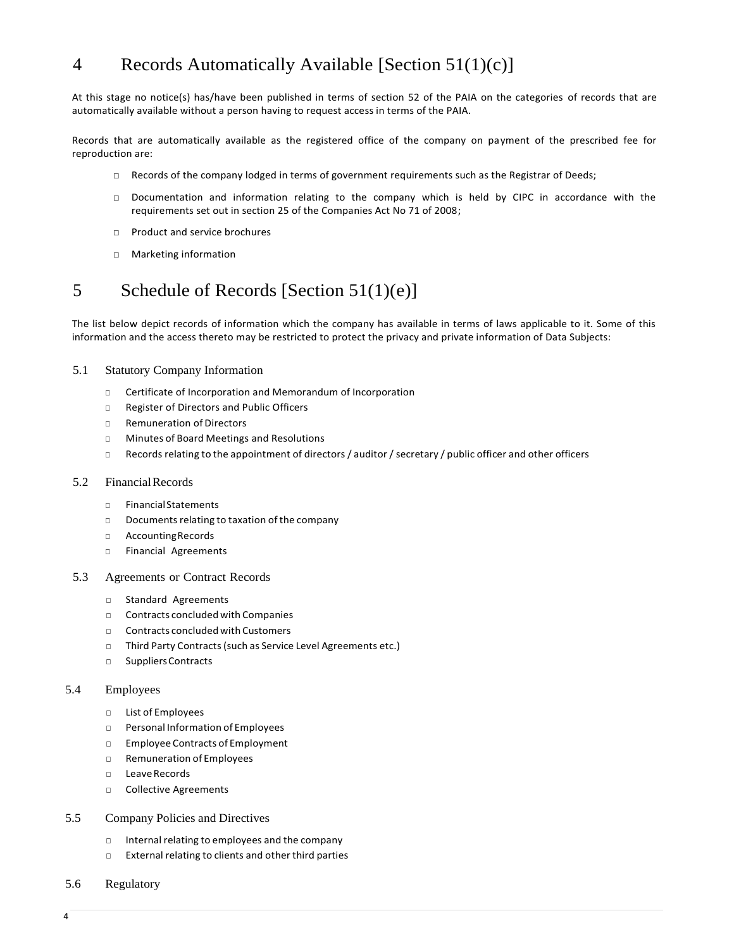# 4 Records Automatically Available [Section 51(1)(c)]

At this stage no notice(s) has/have been published in terms of section 52 of the PAIA on the categories of records that are automatically available without a person having to request access in terms of the PAIA.

Records that are automatically available as the registered office of the company on payment of the prescribed fee for reproduction are:

- □ Records of the company lodged in terms of government requirements such as the Registrar of Deeds;
- □ Documentation and information relating to the company which is held by CIPC in accordance with the requirements set out in section 25 of the Companies Act No 71 of 2008;
- □ Product and service brochures
- □ Marketing information

### 5 Schedule of Records [Section 51(1)(e)]

The list below depict records of information which the company has available in terms of laws applicable to it. Some of this information and the access thereto may be restricted to protect the privacy and private information of Data Subjects:

#### 5.1 Statutory Company Information

- □ Certificate of Incorporation and Memorandum of Incorporation
- □ Register of Directors and Public Officers
- □ Remuneration of Directors
- □ Minutes of Board Meetings and Resolutions
- □ Records relating to the appointment of directors / auditor / secretary / public officer and other officers

#### 5.2 FinancialRecords

- □ FinancialStatements
- □ Documents relating to taxation of the company
- □ AccountingRecords
- □ Financial Agreements
- 5.3 Agreements or Contract Records
	- □ Standard Agreements
	- □ Contracts concluded with Companies
	- □ Contracts concluded with Customers
	- □ Third Party Contracts(such as Service Level Agreements etc.)
	- □ Suppliers Contracts

#### 5.4 Employees

- □ List of Employees
- □ Personal Information of Employees
- □ Employee Contracts of Employment
- □ Remuneration of Employees
- □ LeaveRecords
- □ Collective Agreements
- 5.5 Company Policies and Directives
	- □ Internal relating to employees and the company
	- □ External relating to clients and other third parties
- 5.6 Regulatory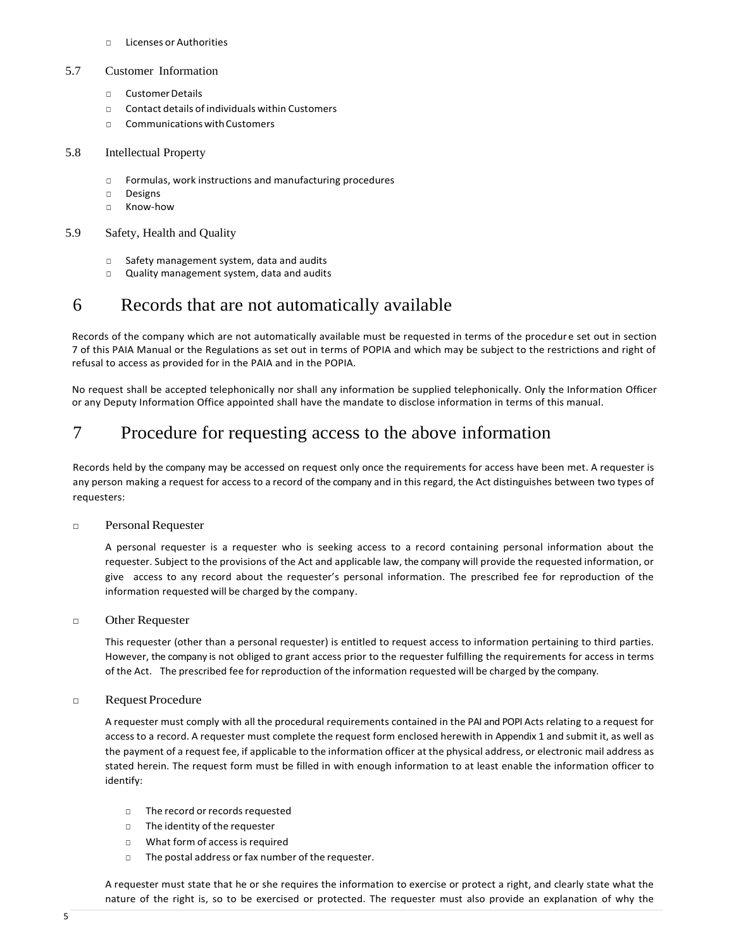□ Licenses or Authorities

#### 5.7 Customer Information

- □ CustomerDetails
- $\Box$  Contact details of individuals within Customers
- □ CommunicationswithCustomers

### 5.8 Intellectual Property

- □ Formulas, work instructions and manufacturing procedures
- □ Designs
- □ Know-how

#### 5.9 Safety, Health and Quality

- □ Safety management system, data and audits
- □ Quality management system, data and audits

### 6 Records that are not automatically available

Records of the company which are not automatically available must be requested in terms of the procedure set out in section 7 of this PAIA Manual or the Regulations as set out in terms of POPIA and which may be subject to the restrictions and right of refusal to access as provided for in the PAIA and in the POPIA.

No request shall be accepted telephonically nor shall any information be supplied telephonically. Only the Information Officer or any Deputy Information Office appointed shall have the mandate to disclose information in terms of this manual.

### 7 Procedure for requesting access to the above information

Records held by the company may be accessed on request only once the requirements for access have been met. A requester is any person making a request for access to a record of the company and in this regard, the Act distinguishes between two types of requesters:

### □ PersonalRequester

A personal requester is a requester who is seeking access to a record containing personal information about the requester. Subject to the provisions of the Act and applicable law, the company will provide the requested information, or give access to any record about the requester's personal information. The prescribed fee for reproduction of the information requested will be charged by the company.

#### □ Other Requester

This requester (other than a personal requester) is entitled to request access to information pertaining to third parties. However, the company is not obliged to grant access prior to the requester fulfilling the requirements for access in terms of the Act. The prescribed fee for reproduction of the information requested will be charged by the company.

#### □ Request Procedure

A requester must comply with all the procedural requirements contained in the PAI and POPI Acts relating to a request for access to a record. A requester must complete the request form enclosed herewith in Appendix 1 and submit it, as well as the payment of a request fee, if applicable to the information officer at the physical address, or electronic mail address as stated herein. The request form must be filled in with enough information to at least enable the information officer to identify:

- □ The record or records requested
- □ The identity of the requester
- □ What form of access is required
- □ The postal address or fax number of the requester.

A requester must state that he or she requires the information to exercise or protect a right, and clearly state what the nature of the right is, so to be exercised or protected. The requester must also provide an explanation of why the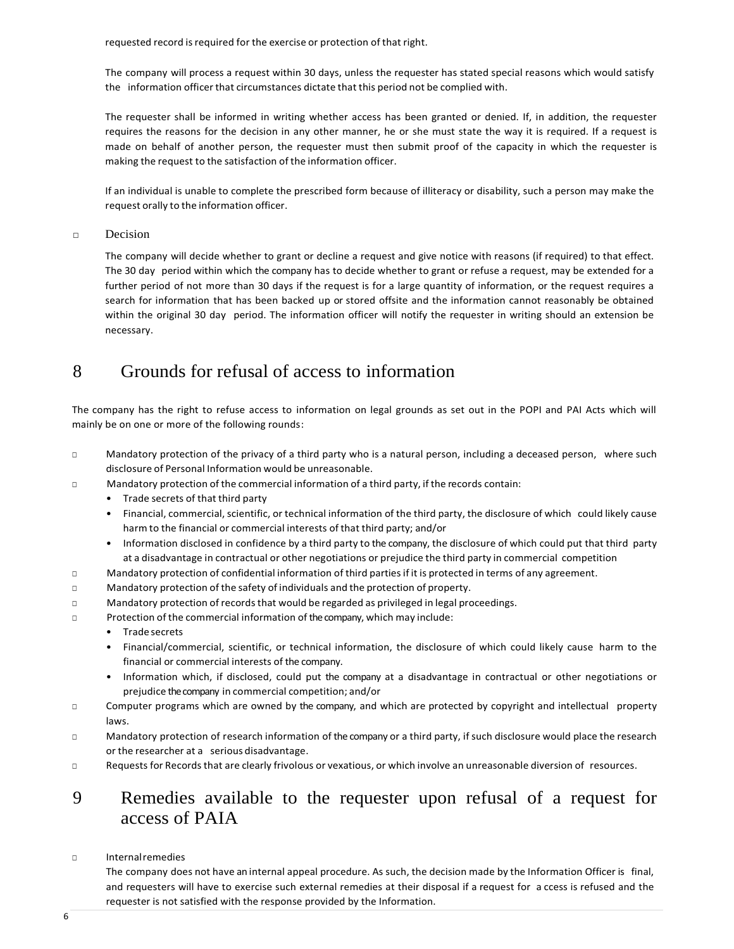requested record is required for the exercise or protection of that right.

The company will process a request within 30 days, unless the requester has stated special reasons which would satisfy the information officer that circumstances dictate that this period not be complied with.

The requester shall be informed in writing whether access has been granted or denied. If, in addition, the requester requires the reasons for the decision in any other manner, he or she must state the way it is required. If a request is made on behalf of another person, the requester must then submit proof of the capacity in which the requester is making the request to the satisfaction of the information officer.

If an individual is unable to complete the prescribed form because of illiteracy or disability, such a person may make the request orally to the information officer.

□ Decision

The company will decide whether to grant or decline a request and give notice with reasons (if required) to that effect. The 30 day period within which the company has to decide whether to grant or refuse a request, may be extended for a further period of not more than 30 days if the request is for a large quantity of information, or the request requires a search for information that has been backed up or stored offsite and the information cannot reasonably be obtained within the original 30 day period. The information officer will notify the requester in writing should an extension be necessary.

### 8 Grounds for refusal of access to information

The company has the right to refuse access to information on legal grounds as set out in the POPI and PAI Acts which will mainly be on one or more of the following rounds:

- □ Mandatory protection of the privacy of a third party who is a natural person, including a deceased person, where such disclosure of Personal Information would be unreasonable.
- □ Mandatory protection of the commercial information of a third party, if the records contain:
	- Trade secrets of that third party
	- Financial, commercial, scientific, or technical information of the third party, the disclosure of which could likely cause harm to the financial or commercial interests of that third party; and/or
	- Information disclosed in confidence by a third party to the company, the disclosure of which could put that third party at a disadvantage in contractual or other negotiations or prejudice the third party in commercial competition
- □ Mandatory protection of confidential information of third partiesif it is protected in terms of any agreement.
- □ Mandatory protection of the safety of individuals and the protection of property.
- □ Mandatory protection of records that would be regarded as privileged in legal proceedings.
- □ Protection of the commercial information of the company, which may include:
	- Trade secrets
	- Financial/commercial, scientific, or technical information, the disclosure of which could likely cause harm to the financial or commercial interests of the company.
	- Information which, if disclosed, could put the company at a disadvantage in contractual or other negotiations or prejudice the company in commercial competition; and/or
- □ Computer programs which are owned by the company, and which are protected by copyright and intellectual property laws.
- □ Mandatory protection of research information of the company or a third party, if such disclosure would place the research or the researcher at a serious disadvantage.
- □ Requests for Records that are clearly frivolous or vexatious, or which involve an unreasonable diversion of resources.

### 9 Remedies available to the requester upon refusal of a request for access of PAIA

#### □ Internalremedies

The company does not have an internal appeal procedure. As such, the decision made by the Information Officer is final, and requesters will have to exercise such external remedies at their disposal if a request for a ccess is refused and the requester is not satisfied with the response provided by the Information.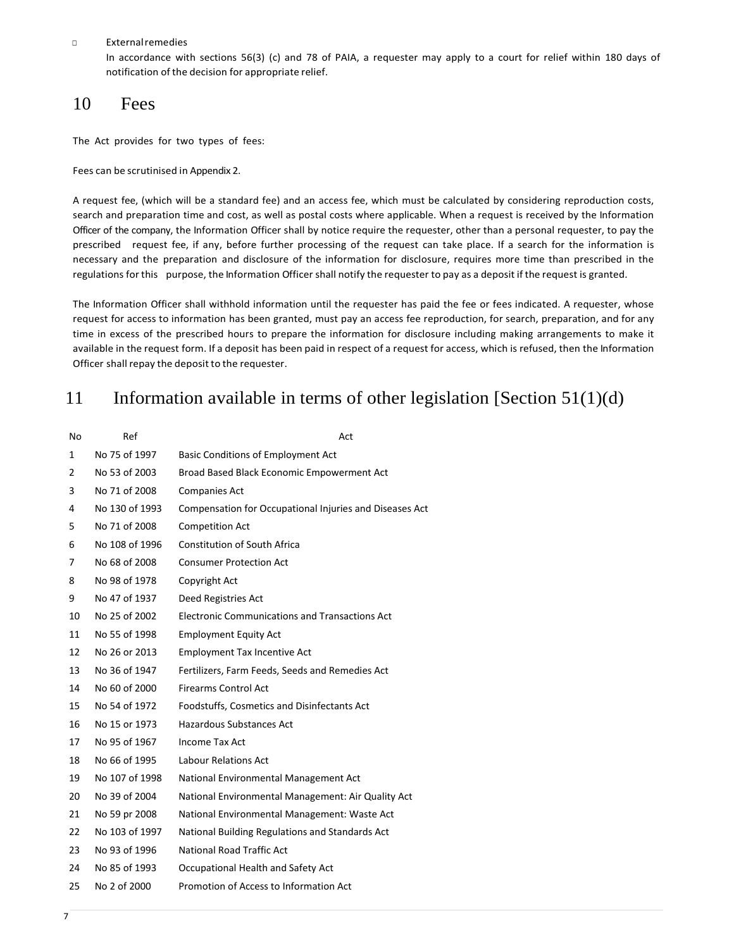#### □ Externalremedies

In accordance with sections 56(3) (c) and 78 of PAIA, a requester may apply to a court for relief within 180 days of notification of the decision for appropriate relief.

### 10 Fees

The Act provides for two types of fees:

Fees can be scrutinised in Appendix 2.

A request fee, (which will be a standard fee) and an access fee, which must be calculated by considering reproduction costs, search and preparation time and cost, as well as postal costs where applicable. When a request is received by the Information Officer of the company, the Information Officer shall by notice require the requester, other than a personal requester, to pay the prescribed request fee, if any, before further processing of the request can take place. If a search for the information is necessary and the preparation and disclosure of the information for disclosure, requires more time than prescribed in the regulations for this purpose, the Information Officer shall notify the requester to pay as a deposit if the request is granted.

The Information Officer shall withhold information until the requester has paid the fee or fees indicated. A requester, whose request for access to information has been granted, must pay an access fee reproduction, for search, preparation, and for any time in excess of the prescribed hours to prepare the information for disclosure including making arrangements to make it available in the request form. If a deposit has been paid in respect of a request for access, which is refused, then the Information Officer shall repay the deposit to the requester.

### 11 Information available in terms of other legislation [Section  $51(1)(d)$ ]

| No | Ref            | Act                                                     |
|----|----------------|---------------------------------------------------------|
| 1  | No 75 of 1997  | <b>Basic Conditions of Employment Act</b>               |
| 2  | No 53 of 2003  | Broad Based Black Economic Empowerment Act              |
| 3  | No 71 of 2008  | <b>Companies Act</b>                                    |
| 4  | No 130 of 1993 | Compensation for Occupational Injuries and Diseases Act |
| 5  | No 71 of 2008  | <b>Competition Act</b>                                  |
| 6  | No 108 of 1996 | <b>Constitution of South Africa</b>                     |
| 7  | No 68 of 2008  | <b>Consumer Protection Act</b>                          |
| 8  | No 98 of 1978  | Copyright Act                                           |
| 9  | No 47 of 1937  | Deed Registries Act                                     |
| 10 | No 25 of 2002  | <b>Electronic Communications and Transactions Act</b>   |
| 11 | No 55 of 1998  | <b>Employment Equity Act</b>                            |
| 12 | No 26 or 2013  | <b>Employment Tax Incentive Act</b>                     |
| 13 | No 36 of 1947  | Fertilizers, Farm Feeds, Seeds and Remedies Act         |
| 14 | No 60 of 2000  | <b>Firearms Control Act</b>                             |
| 15 | No 54 of 1972  | Foodstuffs, Cosmetics and Disinfectants Act             |
| 16 | No 15 or 1973  | <b>Hazardous Substances Act</b>                         |
| 17 | No 95 of 1967  | Income Tax Act                                          |
| 18 | No 66 of 1995  | Labour Relations Act                                    |
| 19 | No 107 of 1998 | National Environmental Management Act                   |
| 20 | No 39 of 2004  | National Environmental Management: Air Quality Act      |
| 21 | No 59 pr 2008  | National Environmental Management: Waste Act            |
| 22 | No 103 of 1997 | National Building Regulations and Standards Act         |
| 23 | No 93 of 1996  | <b>National Road Traffic Act</b>                        |
| 24 | No 85 of 1993  | Occupational Health and Safety Act                      |
| 25 | No 2 of 2000   | Promotion of Access to Information Act                  |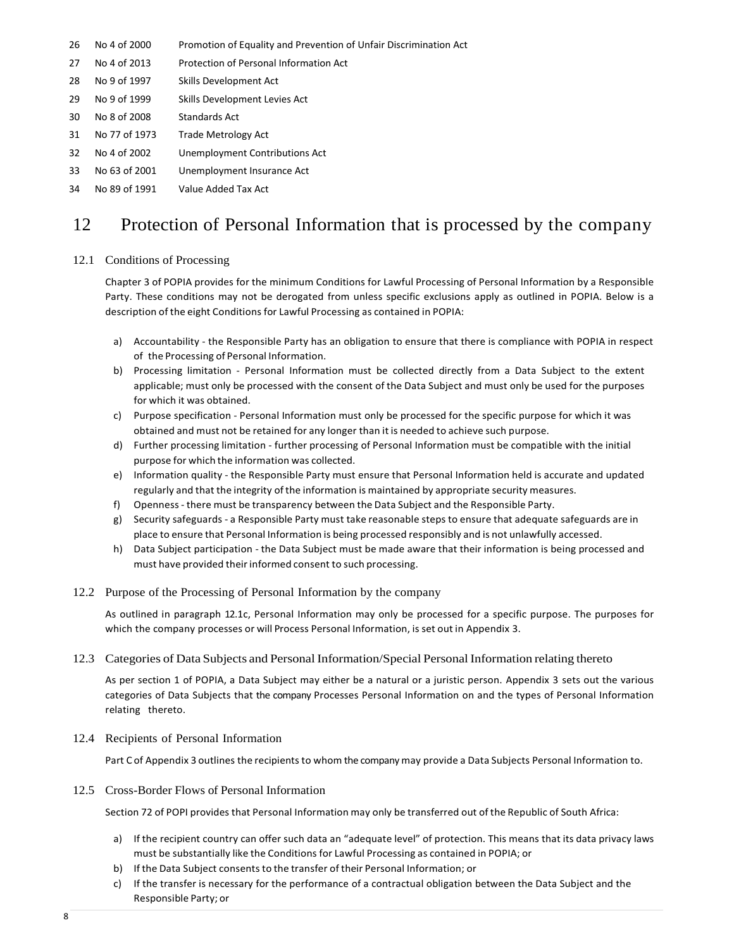- 26 No 4 of 2000 Promotion of Equality and Prevention of Unfair Discrimination Act
- 27 No 4 of 2013 Protection of Personal Information Act
- 28 No 9 of 1997 Skills Development Act
- 29 No 9 of 1999 Skills Development Levies Act
- 30 No 8 of 2008 Standards Act
- 31 No 77 of 1973 Trade Metrology Act
- 32 No 4 of 2002 Unemployment Contributions Act
- 33 No 63 of 2001 Unemployment Insurance Act
- 34 No 89 of 1991 Value Added Tax Act

### 12 Protection of Personal Information that is processed by the company

#### 12.1 Conditions of Processing

Chapter 3 of POPIA provides for the minimum Conditions for Lawful Processing of Personal Information by a Responsible Party. These conditions may not be derogated from unless specific exclusions apply as outlined in POPIA. Below is a description of the eight Conditions for Lawful Processing as contained in POPIA:

- a) Accountability the Responsible Party has an obligation to ensure that there is compliance with POPIA in respect of the Processing of Personal Information.
- b) Processing limitation Personal Information must be collected directly from a Data Subject to the extent applicable; must only be processed with the consent of the Data Subject and must only be used for the purposes for which it was obtained.
- c) Purpose specification Personal Information must only be processed for the specific purpose for which it was obtained and must not be retained for any longer than it is needed to achieve such purpose.
- d) Further processing limitation further processing of Personal Information must be compatible with the initial purpose for which the information was collected.
- e) Information quality the Responsible Party must ensure that Personal Information held is accurate and updated regularly and that the integrity of the information is maintained by appropriate security measures.
- f) Openness- there must be transparency between the Data Subject and the Responsible Party.
- g) Security safeguards a Responsible Party must take reasonable steps to ensure that adequate safeguards are in place to ensure that Personal Information is being processed responsibly and is not unlawfully accessed.
- h) Data Subject participation the Data Subject must be made aware that their information is being processed and must have provided their informed consent to such processing.
- 12.2 Purpose of the Processing of Personal Information by the company

As outlined in paragraph 12.1c, Personal Information may only be processed for a specific purpose. The purposes for which the company processes or will Process Personal Information, is set out in Appendix 3.

#### 12.3 Categories of Data Subjects and Personal Information/Special PersonalInformation relating thereto

As per section 1 of POPIA, a Data Subject may either be a natural or a juristic person. Appendix 3 sets out the various categories of Data Subjects that the company Processes Personal Information on and the types of Personal Information relating thereto.

12.4 Recipients of Personal Information

Part C of Appendix 3 outlines the recipients to whom the company may provide a Data Subjects Personal Information to.

12.5 Cross-Border Flows of Personal Information

Section 72 of POPI provides that Personal Information may only be transferred out of the Republic of South Africa:

- a) If the recipient country can offer such data an "adequate level" of protection. This means that its data privacy laws must be substantially like the Conditions for Lawful Processing as contained in POPIA; or
- b) If the Data Subject consents to the transfer of their Personal Information; or
- c) If the transfer is necessary for the performance of a contractual obligation between the Data Subject and the Responsible Party; or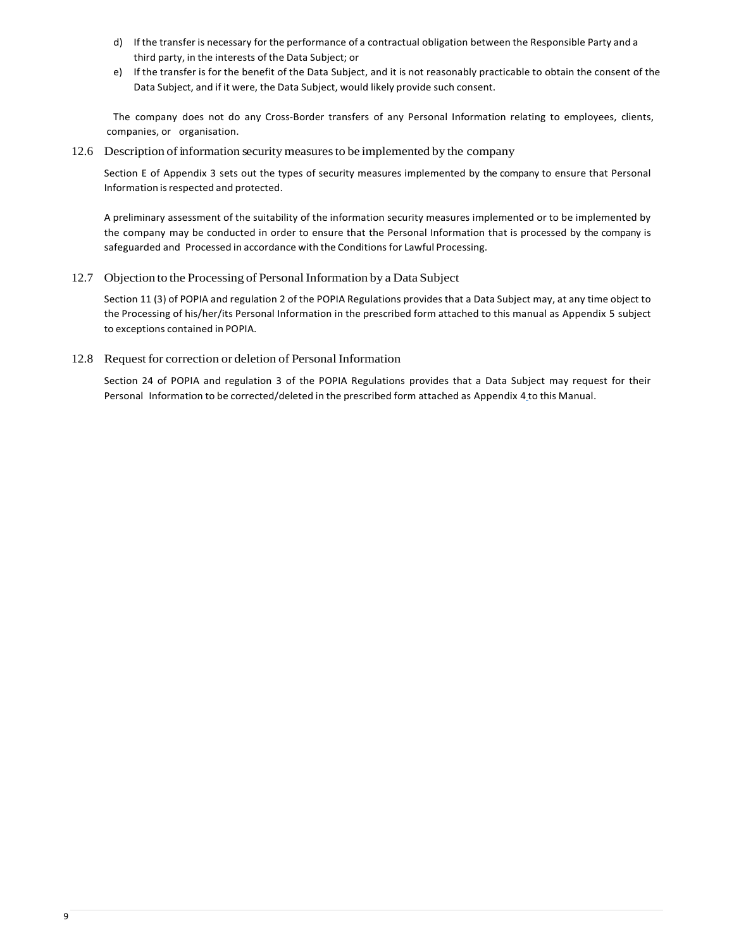- d) If the transfer is necessary for the performance of a contractual obligation between the Responsible Party and a third party, in the interests of the Data Subject; or
- e) If the transfer is for the benefit of the Data Subject, and it is not reasonably practicable to obtain the consent of the Data Subject, and if it were, the Data Subject, would likely provide such consent.

The company does not do any Cross-Border transfers of any Personal Information relating to employees, clients, companies, or organisation.

12.6 Description of information security measures to be implemented by the company

Section E of Appendix 3 sets out the types of security measures implemented by the company to ensure that Personal Information is respected and protected.

A preliminary assessment of the suitability of the information security measures implemented or to be implemented by the company may be conducted in order to ensure that the Personal Information that is processed by the company is safeguarded and Processed in accordance with the Conditions for Lawful Processing.

12.7 Objection to the Processing of Personal Information by a Data Subject

Section 11 (3) of POPIA and regulation 2 of the POPIA Regulations provides that a Data Subject may, at any time object to the Processing of his/her/its Personal Information in the prescribed form attached to this manual as Appendix 5 subject to exceptions contained in POPIA.

12.8 Request for correction or deletion of Personal Information

Section 24 of POPIA and regulation 3 of the POPIA Regulations provides that a Data Subject may request for their Personal Information to be corrected/deleted in the prescribed form attached as Appendix 4 to this Manual.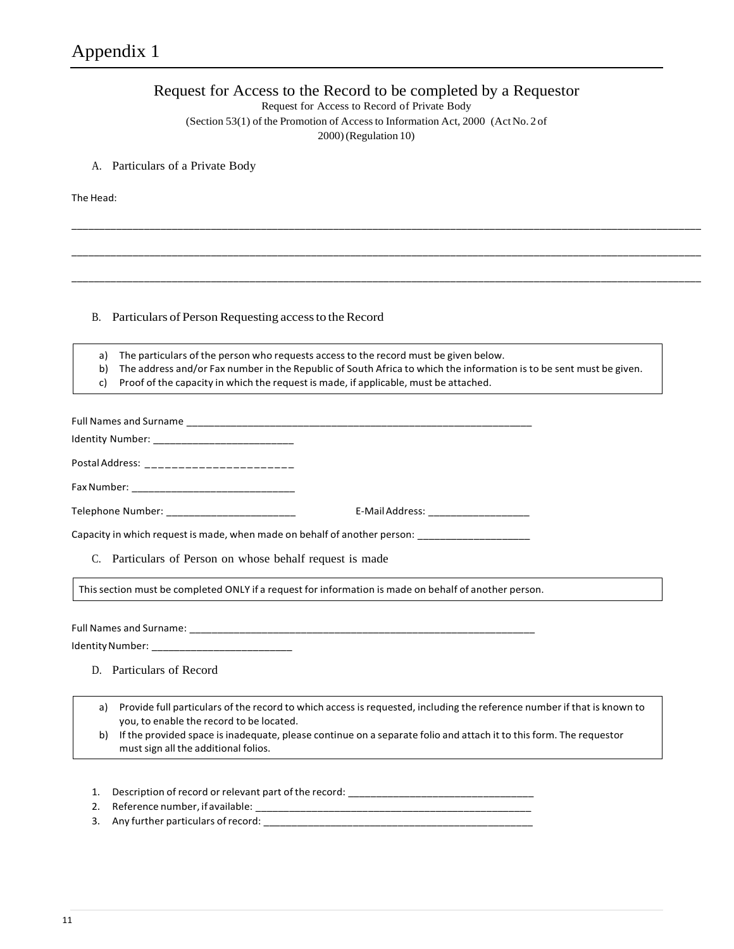### Request for Access to the Record to be completed by a Requestor

Request for Access to Record of Private Body

(Section 53(1) of the Promotion of Accessto Information Act, 2000 (ActNo. 2 of

\_\_\_\_\_\_\_\_\_\_\_\_\_\_\_\_\_\_\_\_\_\_\_\_\_\_\_\_\_\_\_\_\_\_\_\_\_\_\_\_\_\_\_\_\_\_\_\_\_\_\_\_\_\_\_\_\_\_\_\_\_\_\_\_\_\_\_\_\_\_\_\_\_\_\_\_\_\_\_\_\_\_\_\_\_\_\_\_\_\_\_\_\_\_\_\_\_\_\_\_\_\_\_\_\_\_\_\_\_\_\_\_\_

\_\_\_\_\_\_\_\_\_\_\_\_\_\_\_\_\_\_\_\_\_\_\_\_\_\_\_\_\_\_\_\_\_\_\_\_\_\_\_\_\_\_\_\_\_\_\_\_\_\_\_\_\_\_\_\_\_\_\_\_\_\_\_\_\_\_\_\_\_\_\_\_\_\_\_\_\_\_\_\_\_\_\_\_\_\_\_\_\_\_\_\_\_\_\_\_\_\_\_\_\_\_\_\_\_\_\_\_\_\_\_\_\_

\_\_\_\_\_\_\_\_\_\_\_\_\_\_\_\_\_\_\_\_\_\_\_\_\_\_\_\_\_\_\_\_\_\_\_\_\_\_\_\_\_\_\_\_\_\_\_\_\_\_\_\_\_\_\_\_\_\_\_\_\_\_\_\_\_\_\_\_\_\_\_\_\_\_\_\_\_\_\_\_\_\_\_\_\_\_\_\_\_\_\_\_\_\_\_\_\_\_\_\_\_\_\_\_\_\_\_\_\_\_\_\_\_

2000)(Regulation 10)

### A. Particulars of a Private Body

The Head:

### B. Particulars of Person Requesting access to the Record

a) The particulars of the person who requests access to the record must be given below.

b) The address and/or Fax number in the Republic of South Africa to which the information is to be sent must be given.

c) Proof of the capacity in which the request is made, if applicable, must be attached.

| Postal Address: ________________________                 |                                                                                                                         |
|----------------------------------------------------------|-------------------------------------------------------------------------------------------------------------------------|
|                                                          |                                                                                                                         |
| Telephone Number: _______________________________        | E-Mail Address: _____________________                                                                                   |
|                                                          | Capacity in which request is made, when made on behalf of another person: _________________________                     |
| C. Particulars of Person on whose behalf request is made |                                                                                                                         |
|                                                          | This section must be completed ONLY if a request for information is made on behalf of another person.                   |
|                                                          |                                                                                                                         |
| Identity Number: _______________________________         |                                                                                                                         |
| D. Particulars of Record                                 |                                                                                                                         |
| a)                                                       | Provide full particulars of the record to which access is requested, including the reference number if that is known to |

you, to enable the record to be located.

- b) If the provided space isinadequate, please continue on a separate folio and attach it to this form. The requestor must sign all the additional folios.
- 1. Description of record or relevant part of the record: \_\_\_\_\_\_\_\_\_\_\_\_\_\_\_\_\_\_\_\_\_\_\_
- 2. Reference number, if available:
- 3. Any further particulars of record: \_\_\_\_\_\_\_\_\_\_\_\_\_\_\_\_\_\_\_\_\_\_\_\_\_\_\_\_\_\_\_\_\_\_\_\_\_\_\_\_\_\_\_\_\_\_\_\_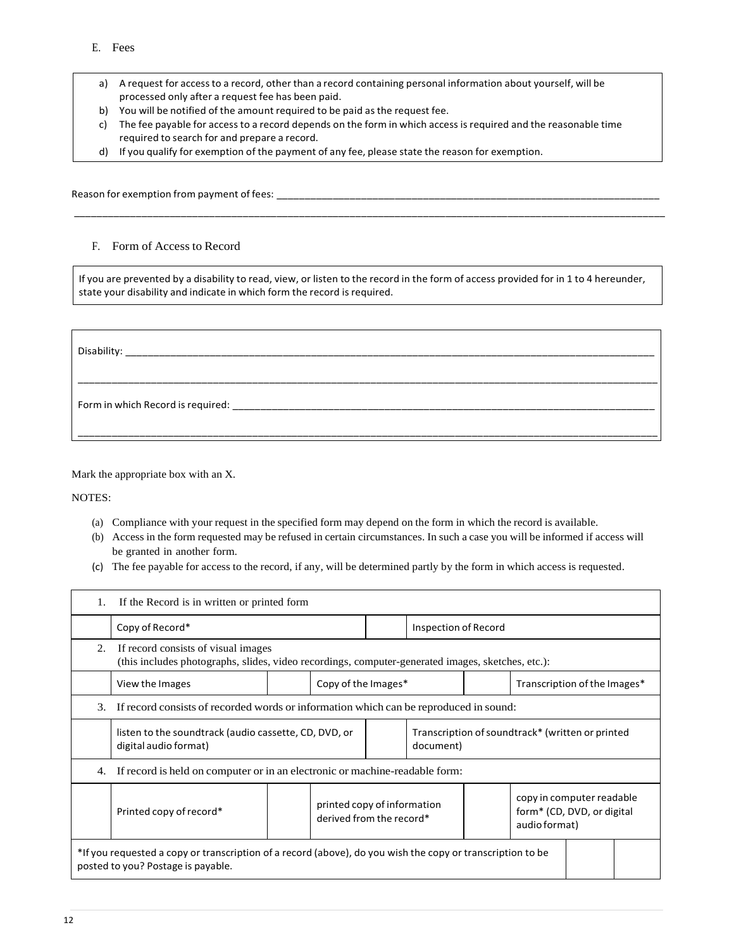- a) A request for accessto a record, other than a record containing personal information about yourself, will be processed only after a request fee has been paid.
- b) You will be notified of the amount required to be paid asthe request fee.
- c) The fee payable for access to a record depends on the form in which access isrequired and the reasonable time required to search for and prepare a record.
- d) If you qualify for exemption of the payment of any fee, please state the reason for exemption.

Reason for exemption from payment of fees: \_\_\_\_\_\_\_\_\_\_\_\_\_\_\_\_\_\_\_\_\_\_\_\_\_\_\_\_\_\_\_\_\_\_\_\_\_\_\_\_\_\_\_\_\_\_\_\_\_\_\_\_\_\_\_\_\_\_\_\_\_\_\_\_\_\_\_\_

#### F. Form of Access to Record

If you are prevented by a disability to read, view, or listen to the record in the form of access provided for in 1 to 4 hereunder, state your disability and indicate in which form the record is required.

\_\_\_\_\_\_\_\_\_\_\_\_\_\_\_\_\_\_\_\_\_\_\_\_\_\_\_\_\_\_\_\_\_\_\_\_\_\_\_\_\_\_\_\_\_\_\_\_\_\_\_\_\_\_\_\_\_\_\_\_\_\_\_\_\_\_\_\_\_\_\_\_\_\_\_\_\_\_\_\_\_\_\_\_\_\_\_\_\_\_\_\_\_\_\_\_\_\_\_\_\_\_\_\_\_

| Disability:                       |  |
|-----------------------------------|--|
|                                   |  |
| Form in which Record is required: |  |
|                                   |  |

Mark the appropriate box with an X.

NOTES:

- (a) Compliance with your request in the specified form may depend on the form in which the record is available.
- (b) Access in the form requested may be refused in certain circumstances. In such a case you will be informed if access will be granted in another form.
- (c) The fee payable for access to the record, if any, will be determined partly by the form in which access is requested.

| 1.                                                                                                                                               | If the Record is in written or printed form                                                                                              |  |                                                         |                                                               |                      |                                                                          |  |
|--------------------------------------------------------------------------------------------------------------------------------------------------|------------------------------------------------------------------------------------------------------------------------------------------|--|---------------------------------------------------------|---------------------------------------------------------------|----------------------|--------------------------------------------------------------------------|--|
|                                                                                                                                                  | Copy of Record*                                                                                                                          |  |                                                         |                                                               | Inspection of Record |                                                                          |  |
| 2.                                                                                                                                               | If record consists of visual images<br>(this includes photographs, slides, video recordings, computer-generated images, sketches, etc.): |  |                                                         |                                                               |                      |                                                                          |  |
|                                                                                                                                                  | View the Images                                                                                                                          |  | Copy of the Images*                                     |                                                               |                      | Transcription of the Images*                                             |  |
| 3.                                                                                                                                               | If record consists of recorded words or information which can be reproduced in sound:                                                    |  |                                                         |                                                               |                      |                                                                          |  |
|                                                                                                                                                  | listen to the soundtrack (audio cassette, CD, DVD, or<br>digital audio format)                                                           |  |                                                         | Transcription of soundtrack* (written or printed<br>document) |                      |                                                                          |  |
| 4.                                                                                                                                               | If record is held on computer or in an electronic or machine-readable form:                                                              |  |                                                         |                                                               |                      |                                                                          |  |
|                                                                                                                                                  | Printed copy of record*                                                                                                                  |  | printed copy of information<br>derived from the record* |                                                               |                      | copy in computer readable<br>form* (CD, DVD, or digital<br>audio format) |  |
| *If you requested a copy or transcription of a record (above), do you wish the copy or transcription to be<br>posted to you? Postage is payable. |                                                                                                                                          |  |                                                         |                                                               |                      |                                                                          |  |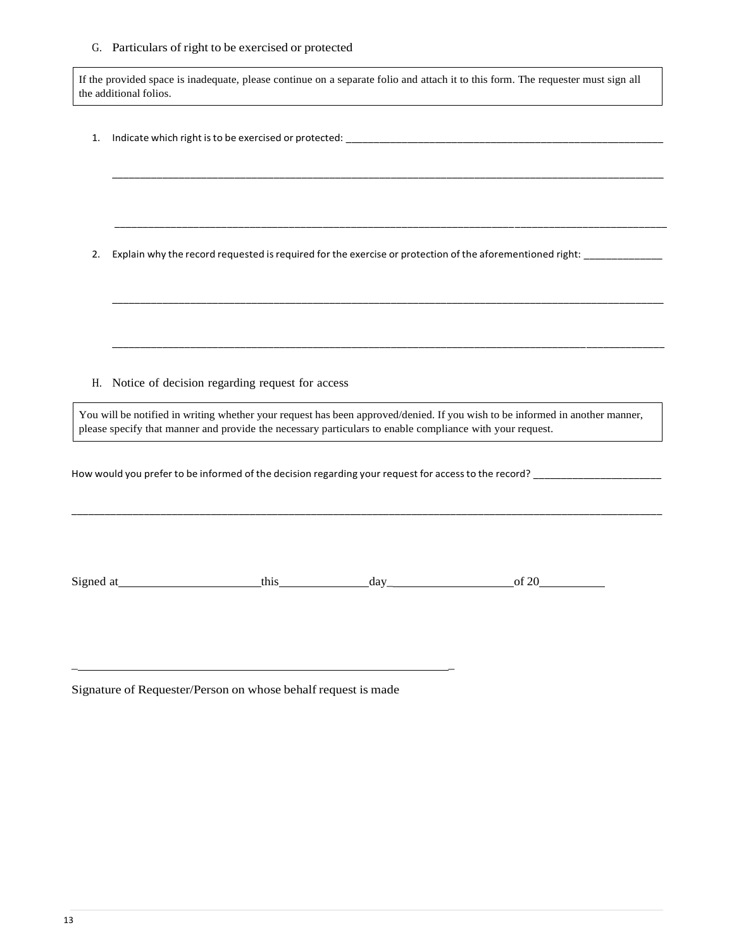#### G. Particulars of right to be exercised or protected

If the provided space is inadequate, please continue on a separate folio and attach it to this form. The requester must sign all the additional folios.

\_\_\_\_\_\_\_\_\_\_\_\_\_\_\_\_\_\_\_\_\_\_\_\_\_\_\_\_\_\_\_\_\_\_\_\_\_\_\_\_\_\_\_\_\_\_\_\_\_\_\_\_\_\_\_\_\_\_\_\_\_\_\_\_\_\_\_\_\_\_\_\_\_\_\_\_\_\_\_\_\_\_\_\_\_\_\_\_\_\_\_\_\_\_\_\_\_\_\_

\_\_\_\_\_\_\_\_\_\_\_\_\_\_\_\_\_\_\_\_\_\_\_\_\_\_\_\_\_\_\_\_\_\_\_\_\_\_\_\_\_\_\_\_\_\_\_\_\_\_\_\_\_\_\_\_\_\_\_\_\_\_\_\_\_\_\_\_\_\_\_\_\_\_\_\_\_\_\_\_\_\_\_\_\_\_\_\_\_\_\_\_\_\_\_\_\_\_

\_\_\_\_\_\_\_\_\_\_\_\_\_\_\_\_\_\_\_\_\_\_\_\_\_\_\_\_\_\_\_\_\_\_\_\_\_\_\_\_\_\_\_\_\_\_\_\_\_\_\_\_\_\_\_\_\_\_\_\_\_\_\_\_\_\_\_\_\_\_\_\_\_\_\_\_\_\_\_\_\_\_\_\_\_\_\_\_\_\_\_\_\_\_\_\_\_\_\_

\_\_\_\_\_\_\_\_\_\_\_\_\_\_\_\_\_\_\_\_\_\_\_\_\_\_\_\_\_\_\_\_\_\_\_\_\_\_\_\_\_\_\_\_\_\_\_\_\_\_\_\_\_\_\_\_\_\_\_\_\_\_\_\_\_\_\_\_\_\_\_\_\_\_\_\_\_\_\_\_\_\_\_\_\_\_\_\_\_\_\_\_\_\_\_\_\_\_\_

1. Indicate which right isto be exercised or protected: \_\_\_\_\_\_\_\_\_\_\_\_\_\_\_\_\_\_\_\_\_\_\_\_\_\_\_\_\_\_\_\_\_\_\_\_\_\_\_\_\_\_\_\_\_\_\_\_\_\_\_\_\_\_\_\_\_

2. Explain why the record requested isrequired for the exercise or protection of the aforementioned right: \_\_\_\_\_\_\_\_\_\_\_\_\_\_

H. Notice of decision regarding request for access

You will be notified in writing whether your request has been approved/denied. If you wish to be informed in another manner, please specify that manner and provide the necessary particulars to enable compliance with your request.

\_\_\_\_\_\_\_\_\_\_\_\_\_\_\_\_\_\_\_\_\_\_\_\_\_\_\_\_\_\_\_\_\_\_\_\_\_\_\_\_\_\_\_\_\_\_\_\_\_\_\_\_\_\_\_\_\_\_\_\_\_\_\_\_\_\_\_\_\_\_\_\_\_\_\_\_\_\_\_\_\_\_\_\_\_\_\_\_\_\_\_\_\_\_\_\_\_\_\_\_\_\_\_\_\_\_

How would you prefer to be informed of the decision regarding your request for access to the record?

Signed at this day day of 20

Signature of Requester/Person on whose behalf request is made

\_ \_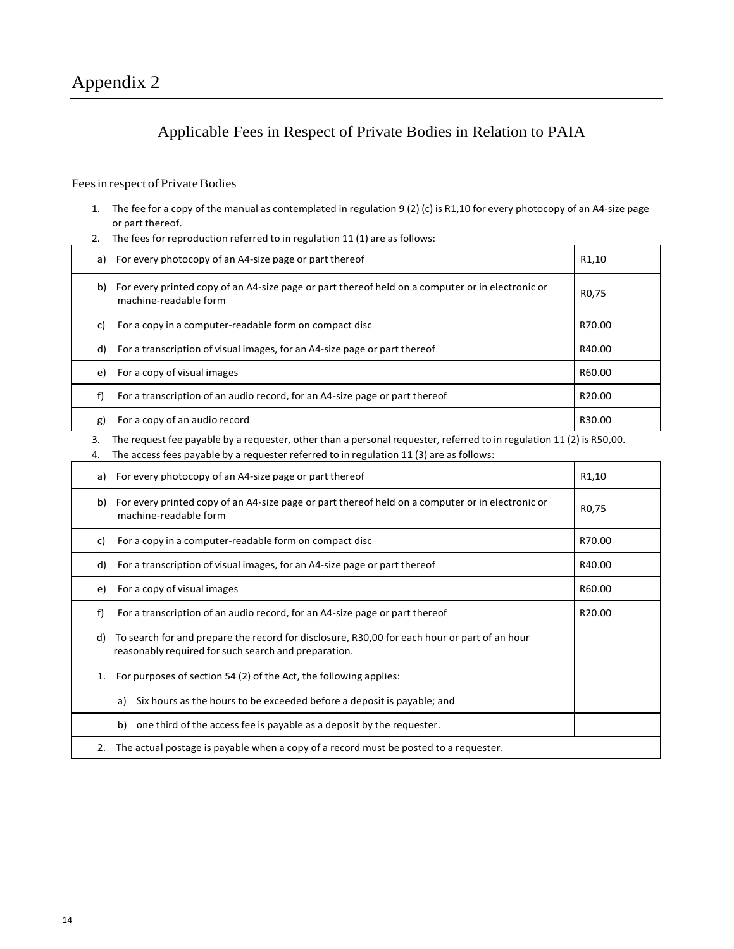### Applicable Fees in Respect of Private Bodies in Relation to PAIA

### Fees in respect of Private Bodies

- 1. The fee for a copy of the manual as contemplated in regulation 9 (2) (c) is R1,10 for every photocopy of an A4-size page or part thereof.
- 2. The fees for reproduction referred to in regulation 11 (1) are as follows:

|    | a) For every photocopy of an A4-size page or part thereof                                                                 | R1,10              |
|----|---------------------------------------------------------------------------------------------------------------------------|--------------------|
| b) | For every printed copy of an A4-size page or part thereof held on a computer or in electronic or<br>machine-readable form | R <sub>0</sub> ,75 |
| C) | For a copy in a computer-readable form on compact disc                                                                    | R70.00             |
| d) | For a transcription of visual images, for an A4-size page or part thereof                                                 | R40.00             |
| e) | For a copy of visual images                                                                                               | R60.00             |
| f) | For a transcription of an audio record, for an A4-size page or part thereof                                               | R <sub>20.00</sub> |
| g) | For a copy of an audio record                                                                                             | R30.00             |

3. The request fee payable by a requester, other than a personal requester, referred to in regulation 11 (2) is R50,00.

<sup>4.</sup> The access fees payable by a requester referred to in regulation 11 (3) are as follows:

| a) | For every photocopy of an A4-size page or part thereof                                                                                               | R <sub>1</sub> ,10 |
|----|------------------------------------------------------------------------------------------------------------------------------------------------------|--------------------|
| b) | For every printed copy of an A4-size page or part thereof held on a computer or in electronic or<br>machine-readable form                            | R <sub>0</sub> ,75 |
| C) | For a copy in a computer-readable form on compact disc                                                                                               | R70.00             |
| d) | For a transcription of visual images, for an A4-size page or part thereof                                                                            | R40.00             |
| e) | For a copy of visual images                                                                                                                          | R60.00             |
| f) | For a transcription of an audio record, for an A4-size page or part thereof                                                                          | R20.00             |
| d) | To search for and prepare the record for disclosure, R30,00 for each hour or part of an hour<br>reasonably required for such search and preparation. |                    |
| 1. | For purposes of section 54 (2) of the Act, the following applies:                                                                                    |                    |
|    | Six hours as the hours to be exceeded before a deposit is payable; and<br>a)                                                                         |                    |
|    | one third of the access fee is payable as a deposit by the requester.<br>b)                                                                          |                    |
| 2. | The actual postage is payable when a copy of a record must be posted to a requester.                                                                 |                    |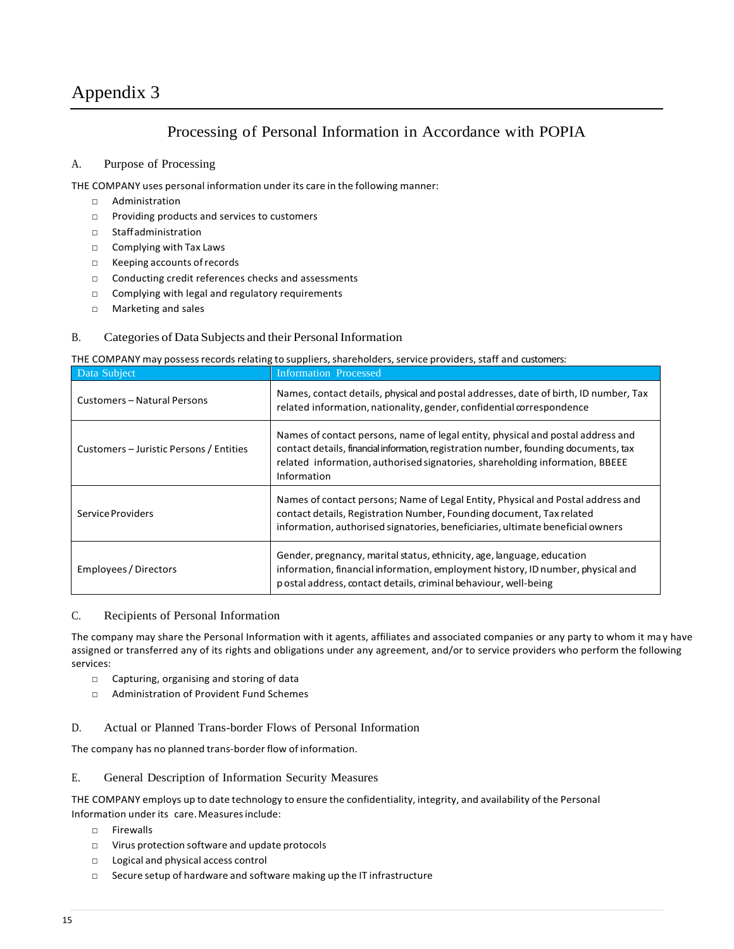### Appendix 3

### Processing of Personal Information in Accordance with POPIA

### A. Purpose of Processing

THE COMPANY uses personal information under its care in the following manner:

- □ Administration
- □ Providing products and services to customers
- □ Staffadministration
- □ Complying with Tax Laws
- □ Keeping accounts of records
- □ Conducting credit references checks and assessments
- □ Complying with legal and regulatory requirements
- □ Marketing and sales
- B. Categories of Data Subjects and their Personal Information

#### THE COMPANY may possess records relating to suppliers, shareholders, service providers, staff and customers:

| Data Subject                            | Information Processed                                                                                                                                                                                                                                                  |
|-----------------------------------------|------------------------------------------------------------------------------------------------------------------------------------------------------------------------------------------------------------------------------------------------------------------------|
| Customers - Natural Persons             | Names, contact details, physical and postal addresses, date of birth, ID number, Tax<br>related information, nationality, gender, confidential correspondence                                                                                                          |
| Customers – Juristic Persons / Entities | Names of contact persons, name of legal entity, physical and postal address and<br>contact details, financial information, registration number, founding documents, tax<br>related information, authorised signatories, shareholding information, BBEEE<br>Information |
| Service Providers                       | Names of contact persons; Name of Legal Entity, Physical and Postal address and<br>contact details, Registration Number, Founding document, Tax related<br>information, authorised signatories, beneficiaries, ultimate beneficial owners                              |
| Employees / Directors                   | Gender, pregnancy, marital status, ethnicity, age, language, education<br>information, financial information, employment history, ID number, physical and<br>p ostal address, contact details, criminal behaviour, well-being                                          |

#### C. Recipients of Personal Information

The company may share the Personal Information with it agents, affiliates and associated companies or any party to whom it ma y have assigned or transferred any of its rights and obligations under any agreement, and/or to service providers who perform the following services:

- □ Capturing, organising and storing of data
- □ Administration of Provident Fund Schemes
- D. Actual or Planned Trans-border Flows of Personal Information

The company has no planned trans-border flow of information.

#### E. General Description of Information Security Measures

THE COMPANY employs up to date technology to ensure the confidentiality, integrity, and availability of the Personal Information under its care. Measures include:

- □ Firewalls
- □ Virus protection software and update protocols
- □ Logical and physical access control
- □ Secure setup of hardware and software making up the IT infrastructure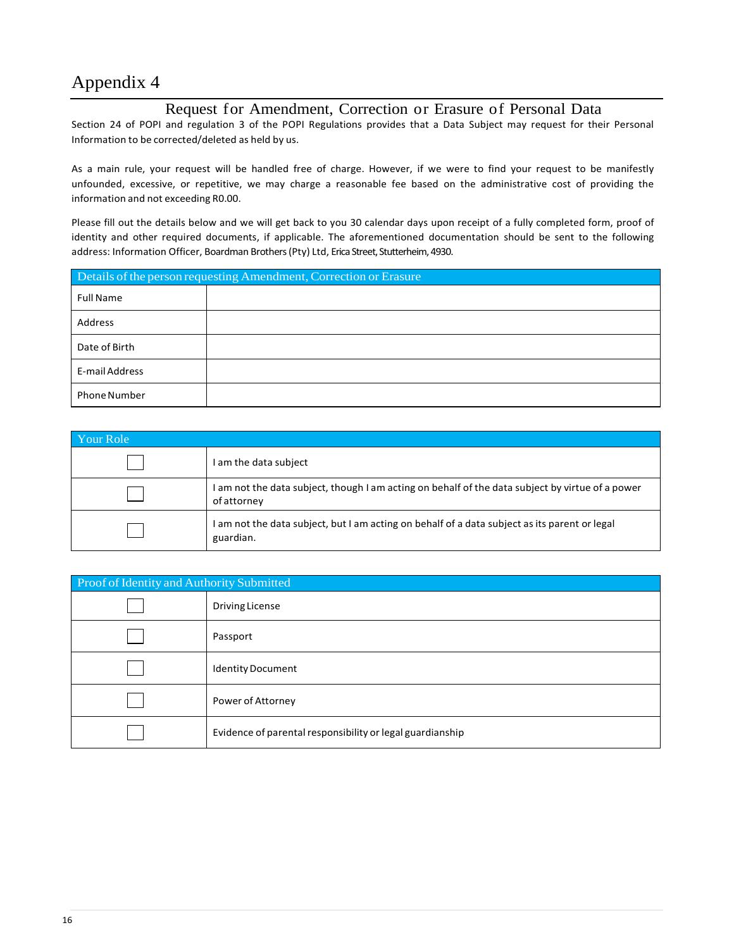# Appendix 4

### Request for Amendment, Correction or Erasure of Personal Data

Section 24 of POPI and regulation 3 of the POPI Regulations provides that a Data Subject may request for their Personal Information to be corrected/deleted as held by us.

As a main rule, your request will be handled free of charge. However, if we were to find your request to be manifestly unfounded, excessive, or repetitive, we may charge a reasonable fee based on the administrative cost of providing the information and not exceeding R0.00.

Please fill out the details below and we will get back to you 30 calendar days upon receipt of a fully completed form, proof of identity and other required documents, if applicable. The aforementioned documentation should be sent to the following address: Information Officer, Boardman Brothers (Pty) Ltd, Erica Street, Stutterheim, 4930.

| Details of the person requesting Amendment, Correction or Erasure |  |  |
|-------------------------------------------------------------------|--|--|
| <b>Full Name</b>                                                  |  |  |
| Address                                                           |  |  |
| Date of Birth                                                     |  |  |
| E-mail Address                                                    |  |  |
| <b>Phone Number</b>                                               |  |  |

| Your Role |                                                                                                                 |  |  |  |
|-----------|-----------------------------------------------------------------------------------------------------------------|--|--|--|
|           | I am the data subject                                                                                           |  |  |  |
|           | I am not the data subject, though I am acting on behalf of the data subject by virtue of a power<br>of attorney |  |  |  |
|           | I am not the data subject, but I am acting on behalf of a data subject as its parent or legal<br>guardian.      |  |  |  |

| Proof of Identity and Authority Submitted |                                                           |  |  |  |
|-------------------------------------------|-----------------------------------------------------------|--|--|--|
|                                           | Driving License                                           |  |  |  |
|                                           | Passport                                                  |  |  |  |
|                                           | <b>Identity Document</b>                                  |  |  |  |
|                                           | Power of Attorney                                         |  |  |  |
|                                           | Evidence of parental responsibility or legal guardianship |  |  |  |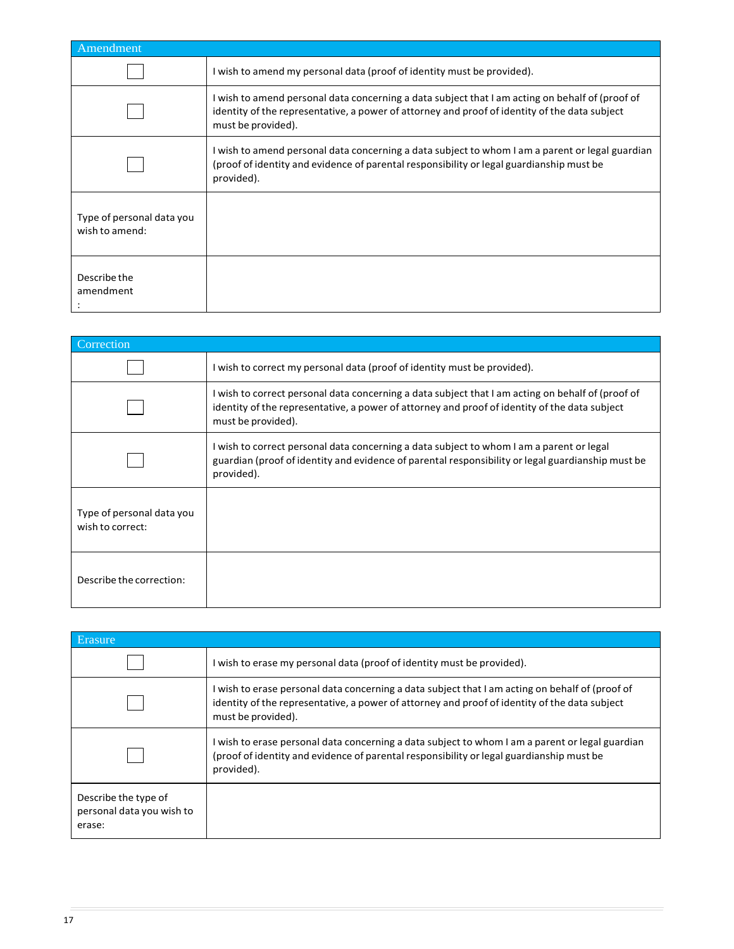| Amendment                                   |                                                                                                                                                                                                                        |  |  |  |
|---------------------------------------------|------------------------------------------------------------------------------------------------------------------------------------------------------------------------------------------------------------------------|--|--|--|
|                                             | I wish to amend my personal data (proof of identity must be provided).                                                                                                                                                 |  |  |  |
|                                             | I wish to amend personal data concerning a data subject that I am acting on behalf of (proof of<br>identity of the representative, a power of attorney and proof of identity of the data subject<br>must be provided). |  |  |  |
|                                             | I wish to amend personal data concerning a data subject to whom I am a parent or legal guardian<br>(proof of identity and evidence of parental responsibility or legal guardianship must be<br>provided).              |  |  |  |
| Type of personal data you<br>wish to amend: |                                                                                                                                                                                                                        |  |  |  |
| Describe the<br>amendment                   |                                                                                                                                                                                                                        |  |  |  |

| Correction                                    |                                                                                                                                                                                                                          |
|-----------------------------------------------|--------------------------------------------------------------------------------------------------------------------------------------------------------------------------------------------------------------------------|
|                                               | I wish to correct my personal data (proof of identity must be provided).                                                                                                                                                 |
|                                               | I wish to correct personal data concerning a data subject that I am acting on behalf of (proof of<br>identity of the representative, a power of attorney and proof of identity of the data subject<br>must be provided). |
|                                               | I wish to correct personal data concerning a data subject to whom I am a parent or legal<br>guardian (proof of identity and evidence of parental responsibility or legal guardianship must be<br>provided).              |
| Type of personal data you<br>wish to correct: |                                                                                                                                                                                                                          |
| Describe the correction:                      |                                                                                                                                                                                                                          |

| Erasure,                                                    |                                                                                                                                                                                                                        |  |  |  |
|-------------------------------------------------------------|------------------------------------------------------------------------------------------------------------------------------------------------------------------------------------------------------------------------|--|--|--|
|                                                             | I wish to erase my personal data (proof of identity must be provided).                                                                                                                                                 |  |  |  |
|                                                             | I wish to erase personal data concerning a data subject that I am acting on behalf of (proof of<br>identity of the representative, a power of attorney and proof of identity of the data subject<br>must be provided). |  |  |  |
|                                                             | I wish to erase personal data concerning a data subject to whom I am a parent or legal guardian<br>(proof of identity and evidence of parental responsibility or legal guardianship must be<br>provided).              |  |  |  |
| Describe the type of<br>personal data you wish to<br>erase: |                                                                                                                                                                                                                        |  |  |  |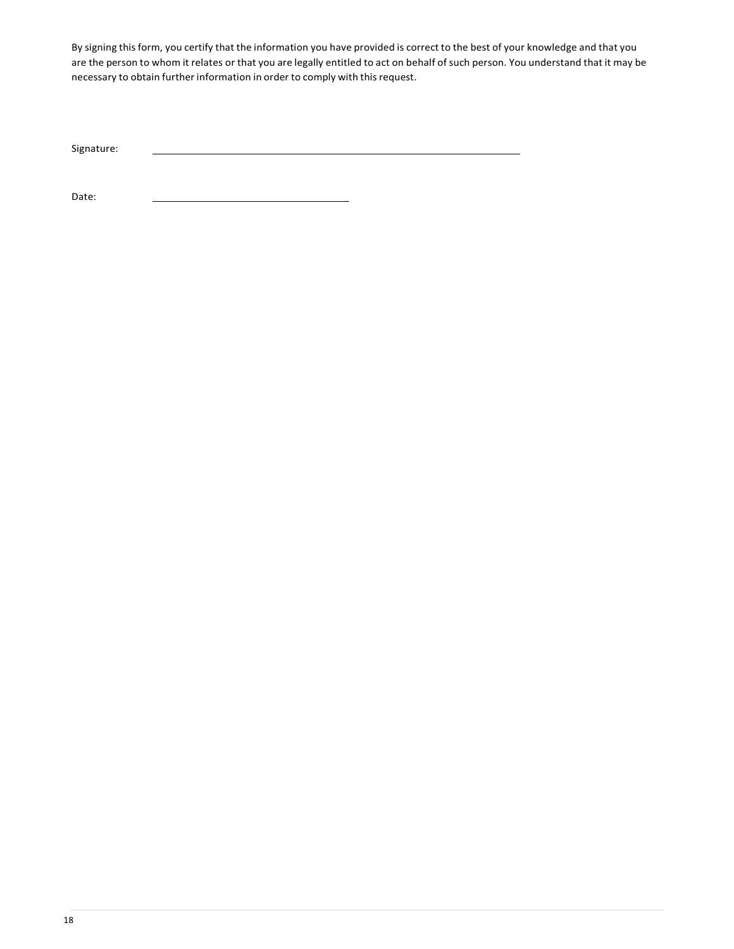By signing this form, you certify that the information you have provided is correct to the best of your knowledge and that you are the person to whom it relates or that you are legally entitled to act on behalf of such person. You understand that it may be necessary to obtain further information in order to comply with this request.

Signature:

Date: \_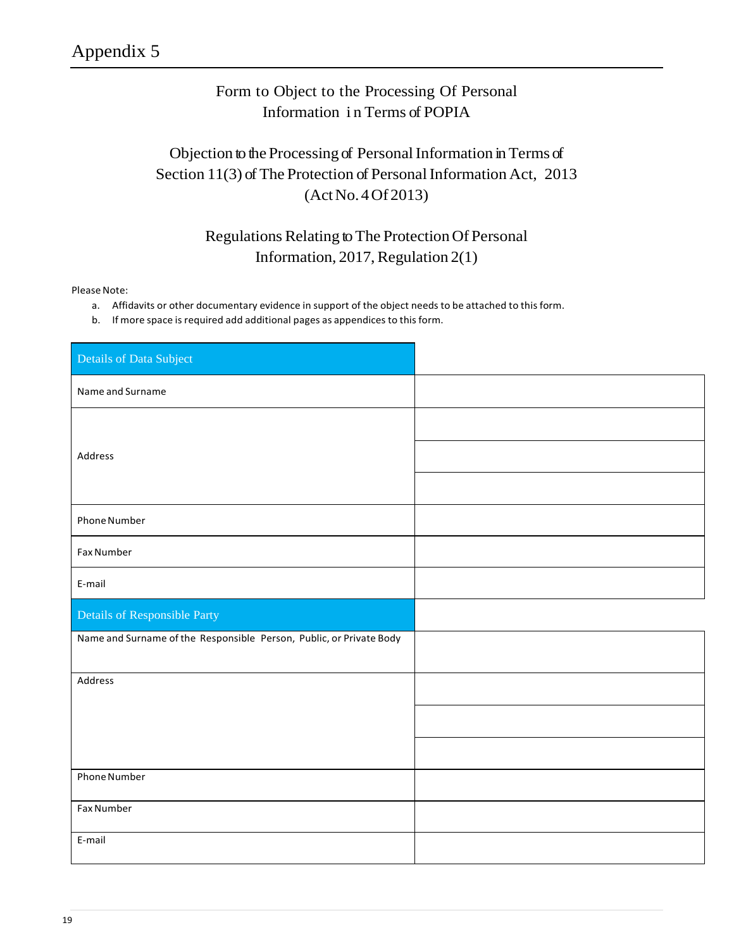### Form to Object to the Processing Of Personal Information i n Terms of POPIA

### Objection to the Processing of Personal Information in Terms of Section 11(3) of The Protection of Personal Information Act, 2013 (ActNo.4Of 2013)

### Regulations Relating to The Protection Of Personal Information, 2017, Regulation  $2(1)$

Please Note:

- a. Affidavits or other documentary evidence in support of the object needs to be attached to this form.
- b. If more space is required add additional pages as appendices to this form.

| Details of Data Subject                                             |  |
|---------------------------------------------------------------------|--|
| Name and Surname                                                    |  |
|                                                                     |  |
| Address                                                             |  |
|                                                                     |  |
| Phone Number                                                        |  |
| Fax Number                                                          |  |
| E-mail                                                              |  |
|                                                                     |  |
| Details of Responsible Party                                        |  |
| Name and Surname of the Responsible Person, Public, or Private Body |  |
| Address                                                             |  |
|                                                                     |  |
|                                                                     |  |
| Phone Number                                                        |  |
| <b>Fax Number</b>                                                   |  |